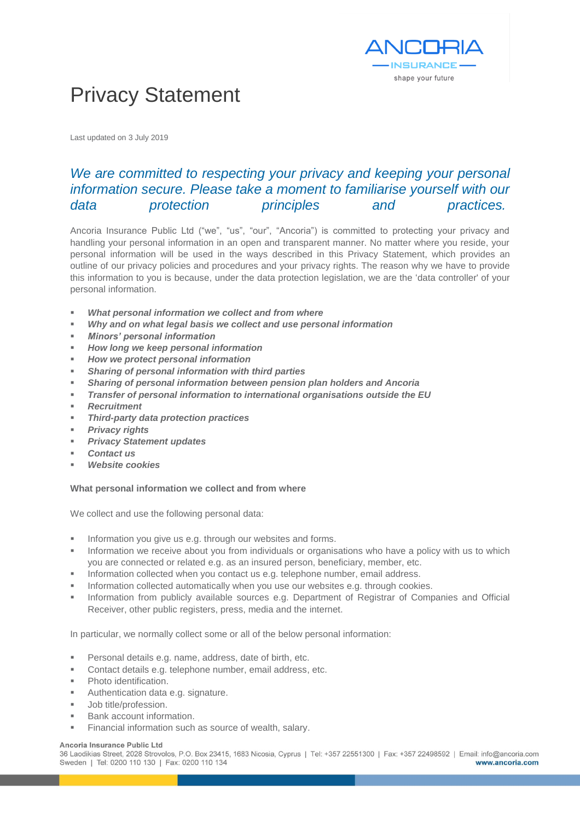

# Privacy Statement

Last updated on 3 July 2019

# *We are committed to respecting your privacy and keeping your personal information secure. Please take a moment to familiarise yourself with our data protection principles and practices.*

Ancoria Insurance Public Ltd ("we", "us", "our", "Ancoria") is committed to protecting your privacy and handling your personal information in an open and transparent manner. No matter where you reside, your personal information will be used in the ways described in this Privacy Statement, which provides an outline of our privacy policies and procedures and your privacy rights. The reason why we have to provide this information to you is because, under the data protection legislation, we are the 'data controller' of your personal information.

- *What personal information we collect and from where*
- *Why and on what legal basis we collect and use personal information*
- *Minors' personal information*
- **How long we keep personal information**
- **How we protect personal information**
- *Sharing of personal information with third parties*
- *Sharing of personal information between pension plan holders and Ancoria*
- *Transfer of personal information to international organisations outside the EU*
- *Recruitment*
- *Third-party data protection practices*
- **Privacy rights**
- **Privacy Statement updates**
- *Contact us*
- **Website cookies**

# **What personal information we collect and from where**

We collect and use the following personal data:

- Information you give us e.g. through our websites and forms.
- Information we receive about you from individuals or organisations who have a policy with us to which you are connected or related e.g. as an insured person, beneficiary, member, etc.
- Information collected when you contact us e.g. telephone number, email address.
- Information collected automatically when you use our websites e.g. through cookies.
- Information from publicly available sources e.g. Department of Registrar of Companies and Official Receiver, other public registers, press, media and the internet.

In particular, we normally collect some or all of the below personal information:

- Personal details e.g. name, address, date of birth, etc.
- Contact details e.g. telephone number, email address, etc.
- Photo identification.
- Authentication data e.g. signature.
- Job title/profession.
- Bank account information.
- Financial information such as source of wealth, salary.

#### Ancoria Insurance Public Ltd

36 Laodikias Street, 2028 Strovolos, P.O. Box 23415, 1683 Nicosia, Cyprus | Tel: +357 22551300 | Fax: +357 22498592 | Email: info@ancoria.com Sweden | Tel: 0200 110 130 | Fax: 0200 110 134 www.ancoria.com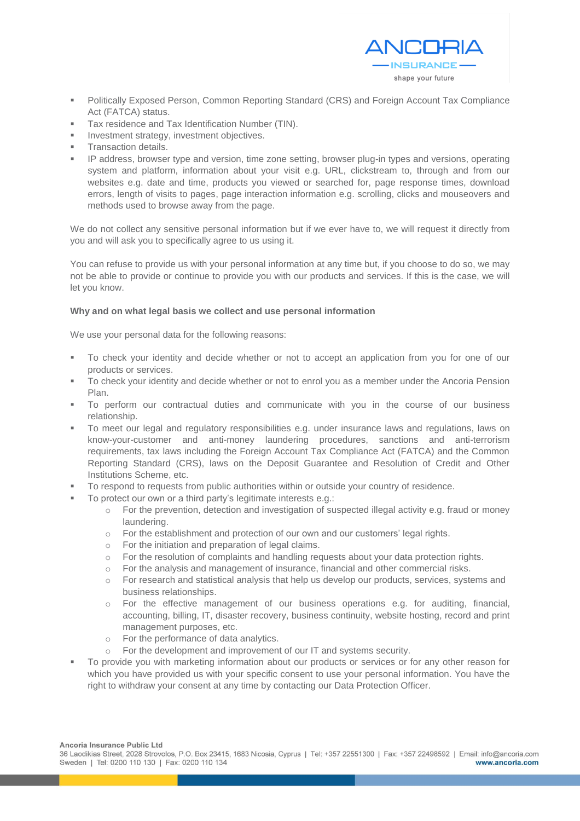

- Politically Exposed Person, Common Reporting Standard (CRS) and Foreign Account Tax Compliance Act (FATCA) status.
- Tax residence and Tax Identification Number (TIN).
- Investment strategy, investment objectives.
- **Transaction details.**
- IP address, browser type and version, time zone setting, browser plug-in types and versions, operating system and platform, information about your visit e.g. URL, clickstream to, through and from our websites e.g. date and time, products you viewed or searched for, page response times, download errors, length of visits to pages, page interaction information e.g. scrolling, clicks and mouseovers and methods used to browse away from the page.

We do not collect any sensitive personal information but if we ever have to, we will request it directly from you and will ask you to specifically agree to us using it.

You can refuse to provide us with your personal information at any time but, if you choose to do so, we may not be able to provide or continue to provide you with our products and services. If this is the case, we will let you know.

# **Why and on what legal basis we collect and use personal information**

We use your personal data for the following reasons:

- To check your identity and decide whether or not to accept an application from you for one of our products or services.
- To check your identity and decide whether or not to enrol you as a member under the Ancoria Pension Plan.
- To perform our contractual duties and communicate with you in the course of our business relationship.
- To meet our legal and regulatory responsibilities e.g. under insurance laws and regulations, laws on know-your-customer and anti-money laundering procedures, sanctions and anti-terrorism requirements, tax laws including the Foreign Account Tax Compliance Act (FATCA) and the Common Reporting Standard (CRS), laws on the Deposit Guarantee and Resolution of Credit and Other Institutions Scheme, etc.
- To respond to requests from public authorities within or outside your country of residence.
- To protect our own or a third party's legitimate interests e.g.:
	- $\circ$  For the prevention, detection and investigation of suspected illegal activity e.g. fraud or money laundering.
	- o For the establishment and protection of our own and our customers' legal rights.
	- o For the initiation and preparation of legal claims.
	- o For the resolution of complaints and handling requests about your data protection rights.
	- o For the analysis and management of insurance, financial and other commercial risks.
	- o For research and statistical analysis that help us develop our products, services, systems and business relationships.
	- o For the effective management of our business operations e.g. for auditing, financial, accounting, billing, IT, disaster recovery, business continuity, website hosting, record and print management purposes, etc.
	- o For the performance of data analytics.
	- o For the development and improvement of our IT and systems security.
- To provide you with marketing information about our products or services or for any other reason for which you have provided us with your specific consent to use your personal information. You have the right to withdraw your consent at any time by contacting our Data Protection Officer.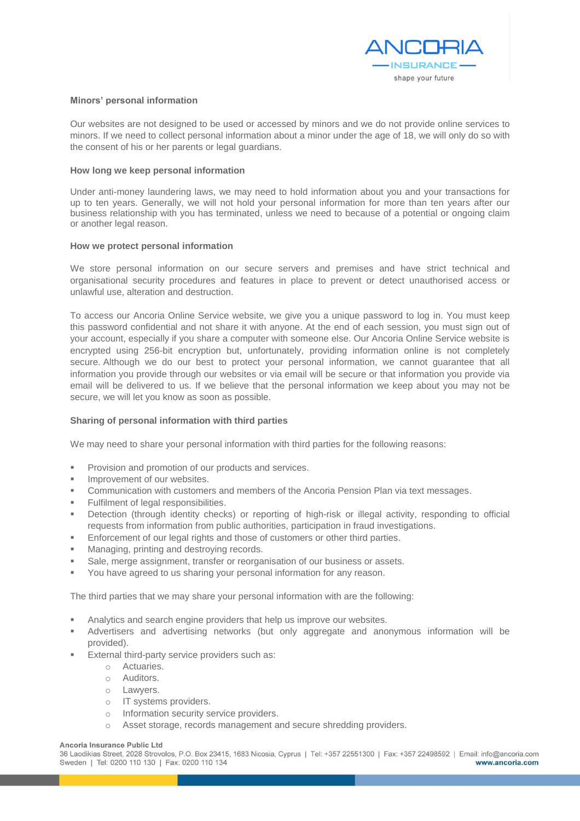

# **Minors' personal information**

Our websites are not designed to be used or accessed by minors and we do not provide online services to minors. If we need to collect personal information about a minor under the age of 18, we will only do so with the consent of his or her parents or legal guardians.

# **How long we keep personal information**

Under anti-money laundering laws, we may need to hold information about you and your transactions for up to ten years. Generally, we will not hold your personal information for more than ten years after our business relationship with you has terminated, unless we need to because of a potential or ongoing claim or another legal reason.

# **How we protect personal information**

We store personal information on our secure servers and premises and have strict technical and organisational security procedures and features in place to prevent or detect unauthorised access or unlawful use, alteration and destruction.

To access our Ancoria Online Service website, we give you a unique password to log in. You must keep this password confidential and not share it with anyone. At the end of each session, you must sign out of your account, especially if you share a computer with someone else. Our Ancoria Online Service website is encrypted using 256-bit encryption but, unfortunately, providing information online is not completely secure. Although we do our best to protect your personal information, we cannot guarantee that all information you provide through our websites or via email will be secure or that information you provide via email will be delivered to us. If we believe that the personal information we keep about you may not be secure, we will let you know as soon as possible.

# **Sharing of personal information with third parties**

We may need to share your personal information with third parties for the following reasons:

- **Provision and promotion of our products and services.**
- Improvement of our websites.
- Communication with customers and members of the Ancoria Pension Plan via text messages.
- Fulfilment of legal responsibilities.
- Detection (through identity checks) or reporting of high-risk or illegal activity, responding to official requests from information from public authorities, participation in fraud investigations.
- Enforcement of our legal rights and those of customers or other third parties.
- Managing, printing and destroying records.
- Sale, merge assignment, transfer or reorganisation of our business or assets.
- You have agreed to us sharing your personal information for any reason.

The third parties that we may share your personal information with are the following:

- Analytics and search engine providers that help us improve our websites.
- Advertisers and advertising networks (but only aggregate and anonymous information will be provided).
- External third-party service providers such as:
	- o Actuaries.
	- o Auditors.
	- o Lawyers.
	- o IT systems providers.
	- o Information security service providers.
	- o Asset storage, records management and secure shredding providers.

#### Ancoria Insurance Public Ltd

36 Laodikias Street, 2028 Strovolos, P.O. Box 23415, 1683 Nicosia, Cyprus | Tel: +357 22551300 | Fax: +357 22498592 | Email: info@ancoria.com Sweden | Tel: 0200 110 130 | Fax: 0200 110 134 www.ancoria.com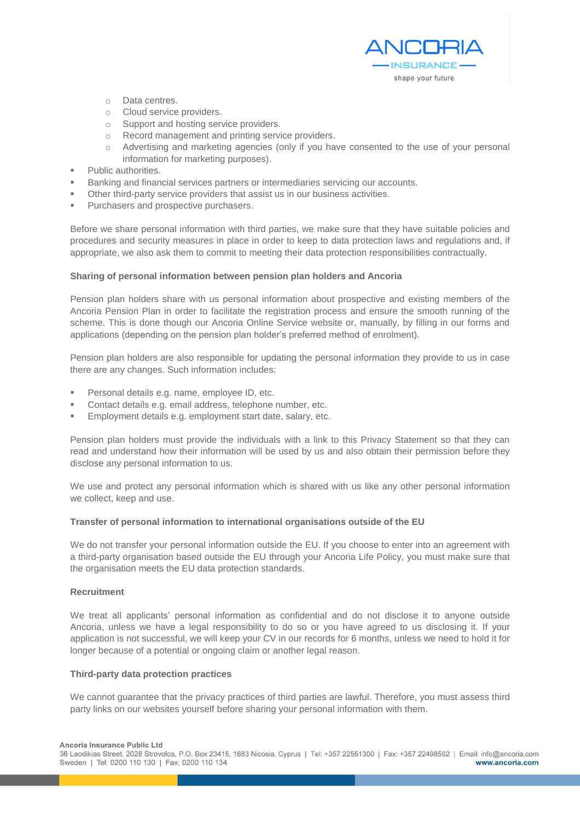

- o Data centres.
- o Cloud service providers.
- 
- o Support and hosting service providers.<br>
o Record management and printing servi Record management and printing service providers.
- o Advertising and marketing agencies (only if you have consented to the use of your personal information for marketing purposes).
- **Public authorities.**
- Banking and financial services partners or intermediaries servicing our accounts.
- Other third-party service providers that assist us in our business activities.
- Purchasers and prospective purchasers.

Before we share personal information with third parties, we make sure that they have suitable policies and procedures and security measures in place in order to keep to data protection laws and regulations and, if appropriate, we also ask them to commit to meeting their data protection responsibilities contractually.

# **Sharing of personal information between pension plan holders and Ancoria**

Pension plan holders share with us personal information about prospective and existing members of the Ancoria Pension Plan in order to facilitate the registration process and ensure the smooth running of the scheme. This is done though our Ancoria Online Service website or, manually, by filling in our forms and applications (depending on the pension plan holder's preferred method of enrolment).

Pension plan holders are also responsible for updating the personal information they provide to us in case there are any changes. Such information includes:

- Personal details e.g. name, employee ID, etc.
- Contact details e.g. email address, telephone number, etc.
- Employment details e.g. employment start date, salary, etc.

Pension plan holders must provide the individuals with a link to this Privacy Statement so that they can read and understand how their information will be used by us and also obtain their permission before they disclose any personal information to us.

We use and protect any personal information which is shared with us like any other personal information we collect, keep and use.

# **Transfer of personal information to international organisations outside of the EU**

We do not transfer your personal information outside the EU. If you choose to enter into an agreement with a third-party organisation based outside the EU through your Ancoria Life Policy, you must make sure that the organisation meets the EU data protection standards.

# **Recruitment**

We treat all applicants' personal information as confidential and do not disclose it to anyone outside Ancoria, unless we have a legal responsibility to do so or you have agreed to us disclosing it. If your application is not successful, we will keep your CV in our records for 6 months, unless we need to hold it for longer because of a potential or ongoing claim or another legal reason.

# **Third-party data protection practices**

We cannot guarantee that the privacy practices of third parties are lawful. Therefore, you must assess third party links on our websites yourself before sharing your personal information with them.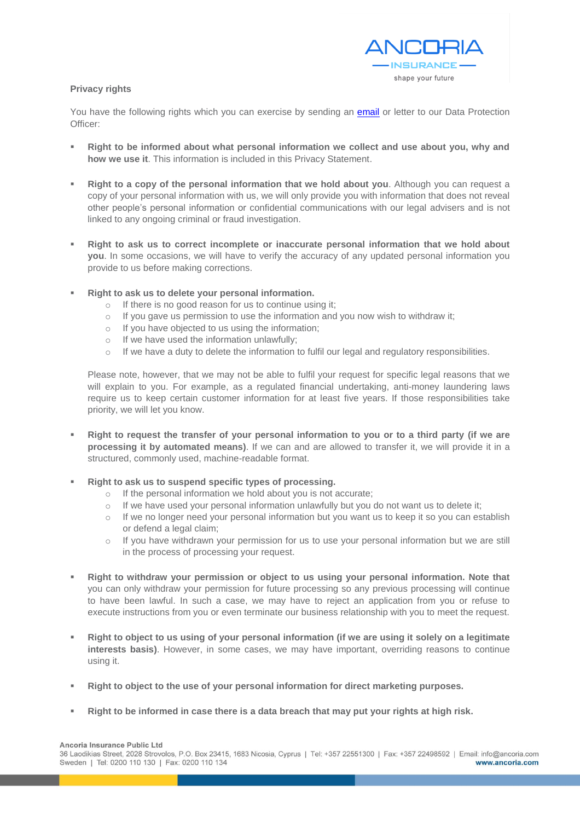

# **Privacy rights**

You have the following rights which you can exercise by sending an **email** or letter to our Data Protection [Officer:](mailto:dpo@ancoria.com)

- Right to be informed about what personal information we collect and use about you, why and **how we use it**. This information is included in this Privacy Statement.
- **Right to a copy of the personal information that we hold about you**. Although you can request a copy of your personal information with us, we will only provide you with information that does not reveal other people's personal information or confidential communications with our legal advisers and is not linked to any ongoing criminal or fraud investigation.
- **Right to ask us to correct incomplete or inaccurate personal information that we hold about you**. In some occasions, we will have to verify the accuracy of any updated personal information you provide to us before making corrections.
- Right to ask us to delete your personal information.
	- o If there is no good reason for us to continue using it;
	- o If you gave us permission to use the information and you now wish to withdraw it;
	- o If you have objected to us using the information;
	- o If we have used the information unlawfully;
	- $\circ$  If we have a duty to delete the information to fulfil our legal and regulatory responsibilities.

Please note, however, that we may not be able to fulfil your request for specific legal reasons that we will explain to you. For example, as a regulated financial undertaking, anti-money laundering laws require us to keep certain customer information for at least five years. If those responsibilities take priority, we will let you know.

- **Right to request the transfer of your personal information to you or to a third party (if we are processing it by automated means)**. If we can and are allowed to transfer it, we will provide it in a structured, commonly used, machine-readable format.
- **Right to ask us to suspend specific types of processing.** 
	- o If the personal information we hold about you is not accurate;
	- o If we have used your personal information unlawfully but you do not want us to delete it;
	- o If we no longer need your personal information but you want us to keep it so you can establish or defend a legal claim;
	- $\circ$  If you have withdrawn your permission for us to use your personal information but we are still in the process of processing your request.
- **Right to withdraw your permission or object to us using your personal information. Note that** you can only withdraw your permission for future processing so any previous processing will continue to have been lawful. In such a case, we may have to reject an application from you or refuse to execute instructions from you or even terminate our business relationship with you to meet the request.
- **Right to object to us using of your personal information (if we are using it solely on a legitimate interests basis)**. However, in some cases, we may have important, overriding reasons to continue using it.
- **Right to object to the use of your personal information for direct marketing purposes.**
- **Right to be informed in case there is a data breach that may put your rights at high risk.**